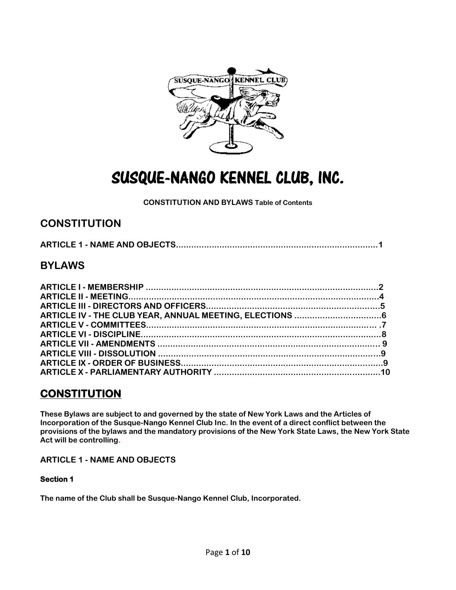

# SUSQUE-NANGO KENNEL CLUB, INC.

### **CONSTITUTION AND BYLAWS Table of Contents**

# **CONSTITUTION**

|--|

# **BYLAWS**

# **CONSTITUTION**

**These Bylaws are subject to and governed by the state of New York Laws and the Articles of Incorporation of the Susque-Nango Kennel Club Inc. In the event of a direct conflict between the provisions of the bylaws and the mandatory provisions of the New York State Laws, the New York State Act will be controlling.**

### **ARTICLE 1 - NAME AND OBJECTS**

### **Section 1**

**The name of the Club shall be Susque-Nango Kennel Club, Incorporated.**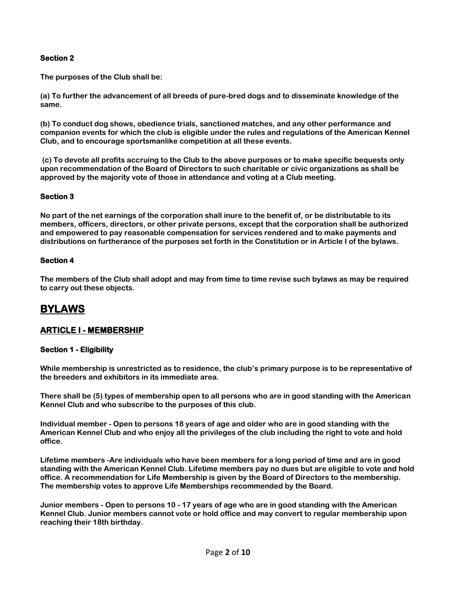### **Section 2**

**The purposes of the Club shall be:** 

**(a) To further the advancement of all breeds of pure-bred dogs and to disseminate knowledge of the same.** 

**(b) To conduct dog shows, obedience trials, sanctioned matches, and any other performance and companion events for which the club is eligible under the rules and regulations of the American Kennel Club, and to encourage sportsmanlike competition at all these events.**

**(c) To devote all profits accruing to the Club to the above purposes or to make specific bequests only upon recommendation of the Board of Directors to such charitable or civic organizations as shall be approved by the majority vote of those in attendance and voting at a Club meeting.** 

### **Section 3**

**No part of the net earnings of the corporation shall inure to the benefit of, or be distributable to its members, officers, directors, or other private persons, except that the corporation shall be authorized and empowered to pay reasonable compensation for services rendered and to make payments and distributions on furtherance of the purposes set forth in the Constitution or in Article I of the bylaws.**

### **Section 4**

**The members of the Club shall adopt and may from time to time revise such bylaws as may be required to carry out these objects.** 

# **BYLAWS**

### **ARTICLE I - MEMBERSHIP**

### **Section 1 - Eligibility**

**While membership is unrestricted as to residence, the club's primary purpose is to be representative of the breeders and exhibitors in its immediate area.** 

**There shall be (5) types of membership open to all persons who are in good standing with the American Kennel Club and who subscribe to the purposes of this club.** 

**Individual member - Open to persons 18 years of age and older who are in good standing with the American Kennel Club and who enjoy all the privileges of the club including the right to vote and hold office.** 

**Lifetime members -Are individuals who have been members for a long period of time and are in good standing with the American Kennel Club. Lifetime members pay no dues but are eligible to vote and hold office. A recommendation for Life Membership is given by the Board of Directors to the membership. The membership votes to approve Life Memberships recommended by the Board.** 

**Junior members - Open to persons 10 - 17 years of age who are in good standing with the American Kennel Club. Junior members cannot vote or hold office and may convert to regular membership upon reaching their 18th birthday.**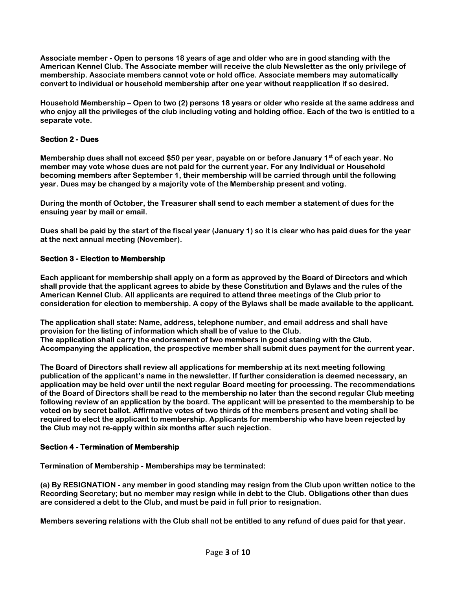**Associate member - Open to persons 18 years of age and older who are in good standing with the American Kennel Club. The Associate member will receive the club Newsletter as the only privilege of membership. Associate members cannot vote or hold office. Associate members may automatically convert to individual or household membership after one year without reapplication if so desired.**

**Household Membership – Open to two (2) persons 18 years or older who reside at the same address and who enjoy all the privileges of the club including voting and holding office. Each of the two is entitled to a separate vote.**

### **Section 2 - Dues**

**Membership dues shall not exceed \$50 per year, payable on or before January 1st of each year. No member may vote whose dues are not paid for the current year. For any Individual or Household becoming members after September 1, their membership will be carried through until the following year. Dues may be changed by a majority vote of the Membership present and voting.**

**During the month of October, the Treasurer shall send to each member a statement of dues for the ensuing year by mail or email.**

**Dues shall be paid by the start of the fiscal year (January 1) so it is clear who has paid dues for the year at the next annual meeting (November).**

### **Section 3 - Election to Membership**

**Each applicant for membership shall apply on a form as approved by the Board of Directors and which shall provide that the applicant agrees to abide by these Constitution and Bylaws and the rules of the American Kennel Club. All applicants are required to attend three meetings of the Club prior to consideration for election to membership. A copy of the Bylaws shall be made available to the applicant.** 

**The application shall state: Name, address, telephone number, and email address and shall have provision for the listing of information which shall be of value to the Club. The application shall carry the endorsement of two members in good standing with the Club. Accompanying the application, the prospective member shall submit dues payment for the current year.** 

**The Board of Directors shall review all applications for membership at its next meeting following publication of the applicant's name in the newsletter. If further consideration is deemed necessary, an application may be held over until the next regular Board meeting for processing. The recommendations of the Board of Directors shall be read to the membership no later than the second regular Club meeting following review of an application by the board. The applicant will be presented to the membership to be voted on by secret ballot. Affirmative votes of two thirds of the members present and voting shall be required to elect the applicant to membership. Applicants for membership who have been rejected by the Club may not re-apply within six months after such rejection.** 

### **Section 4 - Termination of Membership**

**Termination of Membership - Memberships may be terminated:** 

**(a) By RESIGNATION - any member in good standing may resign from the Club upon written notice to the Recording Secretary; but no member may resign while in debt to the Club. Obligations other than dues are considered a debt to the Club, and must be paid in full prior to resignation.** 

**Members severing relations with the Club shall not be entitled to any refund of dues paid for that year.**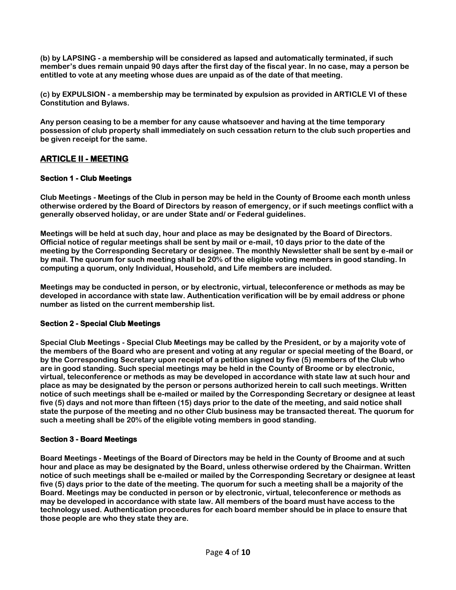**(b) by LAPSING - a membership will be considered as lapsed and automatically terminated, if such member's dues remain unpaid 90 days after the first day of the fiscal year. In no case, may a person be entitled to vote at any meeting whose dues are unpaid as of the date of that meeting.** 

**(c) by EXPULSION - a membership may be terminated by expulsion as provided in ARTICLE VI of these Constitution and Bylaws.** 

**Any person ceasing to be a member for any cause whatsoever and having at the time temporary possession of club property shall immediately on such cessation return to the club such properties and be given receipt for the same.**

### **ARTICLE II - MEETING**

### **Section 1 - Club Meetings**

**Club Meetings - Meetings of the Club in person may be held in the County of Broome each month unless otherwise ordered by the Board of Directors by reason of emergency, or if such meetings conflict with a generally observed holiday, or are under State and/ or Federal guidelines.**

**Meetings will be held at such day, hour and place as may be designated by the Board of Directors. Official notice of regular meetings shall be sent by mail or e-mail, 10 days prior to the date of the meeting by the Corresponding Secretary or designee. The monthly Newsletter shall be sent by e-mail or by mail. The quorum for such meeting shall be 20% of the eligible voting members in good standing. In computing a quorum, only Individual, Household, and Life members are included.** 

**Meetings may be conducted in person, or by electronic, virtual, teleconference or methods as may be developed in accordance with state law. Authentication verification will be by email address or phone number as listed on the current membership list.**

### **Section 2 - Special Club Meetings**

**Special Club Meetings - Special Club Meetings may be called by the President, or by a majority vote of the members of the Board who are present and voting at any regular or special meeting of the Board, or by the Corresponding Secretary upon receipt of a petition signed by five (5) members of the Club who are in good standing. Such special meetings may be held in the County of Broome or by electronic, virtual, teleconference or methods as may be developed in accordance with state law at such hour and place as may be designated by the person or persons authorized herein to call such meetings. Written notice of such meetings shall be e-mailed or mailed by the Corresponding Secretary or designee at least five (5) days and not more than fifteen (15) days prior to the date of the meeting, and said notice shall state the purpose of the meeting and no other Club business may be transacted thereat. The quorum for such a meeting shall be 20% of the eligible voting members in good standing.** 

### **Section 3 - Board Meetings**

**Board Meetings - Meetings of the Board of Directors may be held in the County of Broome and at such hour and place as may be designated by the Board, unless otherwise ordered by the Chairman. Written notice of such meetings shall be e-mailed or mailed by the Corresponding Secretary or designee at least five (5) days prior to the date of the meeting. The quorum for such a meeting shall be a majority of the Board. Meetings may be conducted in person or by electronic, virtual, teleconference or methods as may be developed in accordance with state law. All members of the board must have access to the technology used. Authentication procedures for each board member should be in place to ensure that those people are who they state they are.**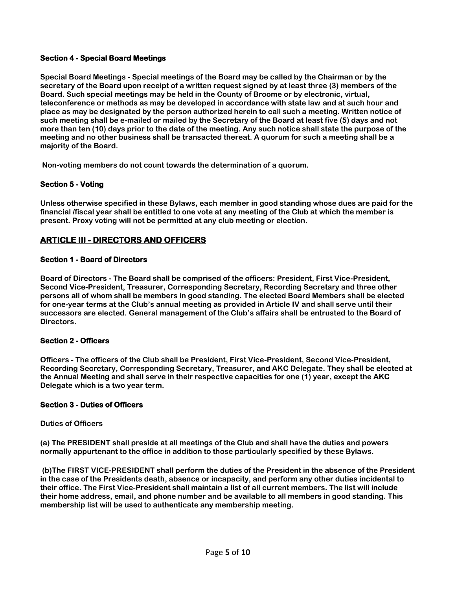### **Section 4 - Special Board Meetings**

**Special Board Meetings - Special meetings of the Board may be called by the Chairman or by the secretary of the Board upon receipt of a written request signed by at least three (3) members of the Board. Such special meetings may be held in the County of Broome or by electronic, virtual, teleconference or methods as may be developed in accordance with state law and at such hour and place as may be designated by the person authorized herein to call such a meeting. Written notice of such meeting shall be e-mailed or mailed by the Secretary of the Board at least five (5) days and not more than ten (10) days prior to the date of the meeting. Any such notice shall state the purpose of the meeting and no other business shall be transacted thereat. A quorum for such a meeting shall be a majority of the Board.**

**Non-voting members do not count towards the determination of a quorum.**

### **Section 5 - Voting**

**Unless otherwise specified in these Bylaws, each member in good standing whose dues are paid for the financial /fiscal year shall be entitled to one vote at any meeting of the Club at which the member is present. Proxy voting will not be permitted at any club meeting or election.** 

### **ARTICLE III - DIRECTORS AND OFFICERS**

### **Section 1 - Board of Directors**

**Board of Directors - The Board shall be comprised of the officers: President, First Vice-President, Second Vice-President, Treasurer, Corresponding Secretary, Recording Secretary and three other persons all of whom shall be members in good standing. The elected Board Members shall be elected for one-year terms at the Club's annual meeting as provided in Article IV and shall serve until their successors are elected. General management of the Club's affairs shall be entrusted to the Board of Directors.** 

### **Section 2 - Officers**

**Officers - The officers of the Club shall be President, First Vice-President, Second Vice-President, Recording Secretary, Corresponding Secretary, Treasurer, and AKC Delegate. They shall be elected at the Annual Meeting and shall serve in their respective capacities for one (1) year, except the AKC Delegate which is a two year term.**

### **Section 3 - Duties of Officers**

#### **Duties of Officers**

**(a) The PRESIDENT shall preside at all meetings of the Club and shall have the duties and powers normally appurtenant to the office in addition to those particularly specified by these Bylaws.** 

**(b)The FIRST VICE-PRESIDENT shall perform the duties of the President in the absence of the President in the case of the Presidents death, absence or incapacity, and perform any other duties incidental to their office. The First Vice-President shall maintain a list of all current members. The list will include their home address, email, and phone number and be available to all members in good standing. This membership list will be used to authenticate any membership meeting.**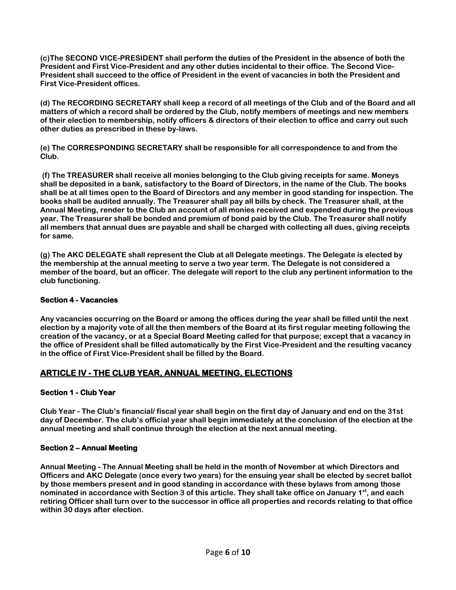**(c)The SECOND VICE-PRESIDENT shall perform the duties of the President in the absence of both the President and First Vice-President and any other duties incidental to their office. The Second Vice-President shall succeed to the office of President in the event of vacancies in both the President and First Vice-President offices.** 

**(d) The RECORDING SECRETARY shall keep a record of all meetings of the Club and of the Board and all matters of which a record shall be ordered by the Club, notify members of meetings and new members of their election to membership, notify officers & directors of their election to office and carry out such other duties as prescribed in these by-laws.**

**(e) The CORRESPONDING SECRETARY shall be responsible for all correspondence to and from the Club.** 

**(f) The TREASURER shall receive all monies belonging to the Club giving receipts for same. Moneys shall be deposited in a bank, satisfactory to the Board of Directors, in the name of the Club. The books shall be at all times open to the Board of Directors and any member in good standing for inspection. The books shall be audited annually. The Treasurer shall pay all bills by check. The Treasurer shall, at the Annual Meeting, render to the Club an account of all monies received and expended during the previous year. The Treasurer shall be bonded and premium of bond paid by the Club. The Treasurer shall notify all members that annual dues are payable and shall be charged with collecting all dues, giving receipts for same.** 

**(g) The AKC DELEGATE shall represent the Club at all Delegate meetings. The Delegate is elected by the membership at the annual meeting to serve a two year term. The Delegate is not considered a member of the board, but an officer. The delegate will report to the club any pertinent information to the club functioning.**

### **Section 4 - Vacancies**

**Any vacancies occurring on the Board or among the offices during the year shall be filled until the next election by a majority vote of all the then members of the Board at its first regular meeting following the creation of the vacancy, or at a Special Board Meeting called for that purpose; except that a vacancy in the office of President shall be filled automatically by the First Vice-President and the resulting vacancy in the office of First Vice-President shall be filled by the Board.** 

### **ARTICLE IV - THE CLUB YEAR, ANNUAL MEETING, ELECTIONS**

### **Section 1 - Club Year**

**Club Year - The Club's financial/ fiscal year shall begin on the first day of January and end on the 31st day of December. The club's official year shall begin immediately at the conclusion of the election at the annual meeting and shall continue through the election at the next annual meeting.** 

### **Section 2 – Annual Meeting**

**Annual Meeting - The Annual Meeting shall be held in the month of November at which Directors and Officers and AKC Delegate (once every two years) for the ensuing year shall be elected by secret ballot by those members present and in good standing in accordance with these bylaws from among those nominated in accordance with Section 3 of this article. They shall take office on January 1st , and each retiring Officer shall turn over to the successor in office all properties and records relating to that office within 30 days after election.**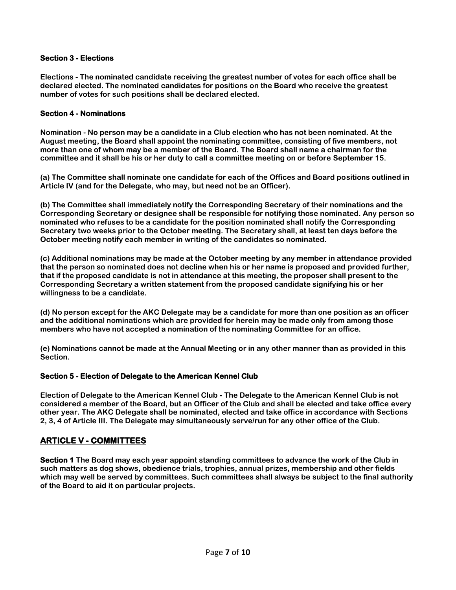### **Section 3 - Elections**

**Elections - The nominated candidate receiving the greatest number of votes for each office shall be declared elected. The nominated candidates for positions on the Board who receive the greatest number of votes for such positions shall be declared elected.**

### **Section 4 - Nominations**

**Nomination - No person may be a candidate in a Club election who has not been nominated. At the August meeting, the Board shall appoint the nominating committee, consisting of five members, not more than one of whom may be a member of the Board. The Board shall name a chairman for the committee and it shall be his or her duty to call a committee meeting on or before September 15.** 

**(a) The Committee shall nominate one candidate for each of the Offices and Board positions outlined in Article IV (and for the Delegate, who may, but need not be an Officer).**

**(b) The Committee shall immediately notify the Corresponding Secretary of their nominations and the Corresponding Secretary or designee shall be responsible for notifying those nominated. Any person so nominated who refuses to be a candidate for the position nominated shall notify the Corresponding Secretary two weeks prior to the October meeting. The Secretary shall, at least ten days before the October meeting notify each member in writing of the candidates so nominated.** 

**(c) Additional nominations may be made at the October meeting by any member in attendance provided that the person so nominated does not decline when his or her name is proposed and provided further, that if the proposed candidate is not in attendance at this meeting, the proposer shall present to the Corresponding Secretary a written statement from the proposed candidate signifying his or her willingness to be a candidate.** 

**(d) No person except for the AKC Delegate may be a candidate for more than one position as an officer and the additional nominations which are provided for herein may be made only from among those members who have not accepted a nomination of the nominating Committee for an office.**

**(e) Nominations cannot be made at the Annual Meeting or in any other manner than as provided in this Section.** 

#### **Section 5 - Election of Delegate to the American Kennel Club**

**Election of Delegate to the American Kennel Club - The Delegate to the American Kennel Club is not considered a member of the Board, but an Officer of the Club and shall be elected and take office every other year. The AKC Delegate shall be nominated, elected and take office in accordance with Sections 2, 3, 4 of Article III. The Delegate may simultaneously serve/run for any other office of the Club.** 

### **ARTICLE V - COMMITTEES**

**Section 1 The Board may each year appoint standing committees to advance the work of the Club in such matters as dog shows, obedience trials, trophies, annual prizes, membership and other fields which may well be served by committees. Such committees shall always be subject to the final authority of the Board to aid it on particular projects.**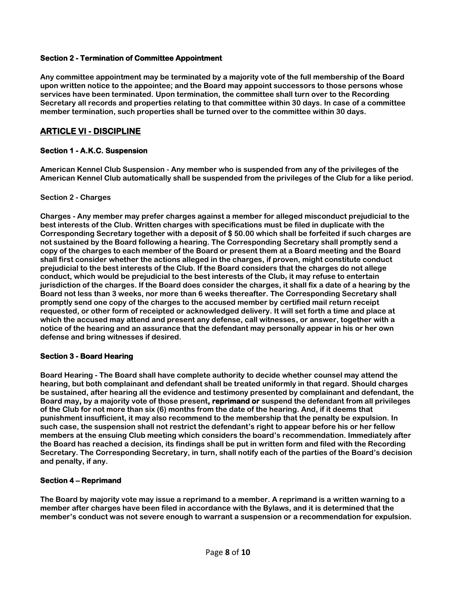### **Section 2 - Termination of Committee Appointment**

**Any committee appointment may be terminated by a majority vote of the full membership of the Board upon written notice to the appointee; and the Board may appoint successors to those persons whose services have been terminated. Upon termination, the committee shall turn over to the Recording Secretary all records and properties relating to that committee within 30 days. In case of a committee member termination, such properties shall be turned over to the committee within 30 days.**

### **ARTICLE VI - DISCIPLINE**

### **Section 1 - A.K.C. Suspension**

**American Kennel Club Suspension - Any member who is suspended from any of the privileges of the American Kennel Club automatically shall be suspended from the privileges of the Club for a like period.** 

### **Section 2 - Charges**

**Charges - Any member may prefer charges against a member for alleged misconduct prejudicial to the best interests of the Club. Written charges with specifications must be filed in duplicate with the Corresponding Secretary together with a deposit of \$ 50.00 which shall be forfeited if such charges are not sustained by the Board following a hearing. The Corresponding Secretary shall promptly send a copy of the charges to each member of the Board or present them at a Board meeting and the Board shall first consider whether the actions alleged in the charges, if proven, might constitute conduct prejudicial to the best interests of the Club. If the Board considers that the charges do not allege conduct, which would be prejudicial to the best interests of the Club, it may refuse to entertain jurisdiction of the charges. If the Board does consider the charges, it shall fix a date of a hearing by the Board not less than 3 weeks, nor more than 6 weeks thereafter. The Corresponding Secretary shall promptly send one copy of the charges to the accused member by certified mail return receipt requested, or other form of receipted or acknowledged delivery. It will set forth a time and place at which the accused may attend and present any defense, call witnesses, or answer, together with a notice of the hearing and an assurance that the defendant may personally appear in his or her own defense and bring witnesses if desired.** 

### **Section 3 - Board Hearing**

**Board Hearing - The Board shall have complete authority to decide whether counsel may attend the hearing, but both complainant and defendant shall be treated uniformly in that regard. Should charges be sustained, after hearing all the evidence and testimony presented by complainant and defendant, the Board may, by a majority vote of those present, reprimand or suspend the defendant from all privileges of the Club for not more than six (6) months from the date of the hearing. And, if it deems that punishment insufficient, it may also recommend to the membership that the penalty be expulsion. In such case, the suspension shall not restrict the defendant's right to appear before his or her fellow members at the ensuing Club meeting which considers the board's recommendation. Immediately after the Board has reached a decision, its findings shall be put in written form and filed with the Recording Secretary. The Corresponding Secretary, in turn, shall notify each of the parties of the Board's decision and penalty, if any.** 

### **Section 4 – Reprimand**

**The Board by majority vote may issue a reprimand to a member. A reprimand is a written warning to a member after charges have been filed in accordance with the Bylaws, and it is determined that the member's conduct was not severe enough to warrant a suspension or a recommendation for expulsion.**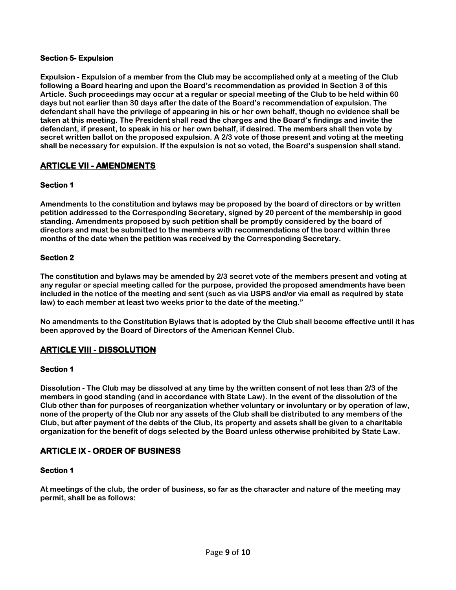### **Section 5- Expulsion**

**Expulsion - Expulsion of a member from the Club may be accomplished only at a meeting of the Club following a Board hearing and upon the Board's recommendation as provided in Section 3 of this Article. Such proceedings may occur at a regular or special meeting of the Club to be held within 60 days but not earlier than 30 days after the date of the Board's recommendation of expulsion. The defendant shall have the privilege of appearing in his or her own behalf, though no evidence shall be taken at this meeting. The President shall read the charges and the Board's findings and invite the defendant, if present, to speak in his or her own behalf, if desired. The members shall then vote by secret written ballot on the proposed expulsion. A 2/3 vote of those present and voting at the meeting shall be necessary for expulsion. If the expulsion is not so voted, the Board's suspension shall stand.** 

### **ARTICLE VII - AMENDMENTS**

### **Section 1**

**Amendments to the constitution and bylaws may be proposed by the board of directors or by written petition addressed to the Corresponding Secretary, signed by 20 percent of the membership in good standing. Amendments proposed by such petition shall be promptly considered by the board of directors and must be submitted to the members with recommendations of the board within three months of the date when the petition was received by the Corresponding Secretary.** 

#### **Section 2**

**The constitution and bylaws may be amended by 2/3 secret vote of the members present and voting at any regular or special meeting called for the purpose, provided the proposed amendments have been included in the notice of the meeting and sent (such as via USPS and/or via email as required by state law) to each member at least two weeks prior to the date of the meeting."** 

**No amendments to the Constitution Bylaws that is adopted by the Club shall become effective until it has been approved by the Board of Directors of the American Kennel Club.** 

### **ARTICLE VIII - DISSOLUTION**

#### **Section 1**

**Dissolution - The Club may be dissolved at any time by the written consent of not less than 2/3 of the members in good standing (and in accordance with State Law). In the event of the dissolution of the Club other than for purposes of reorganization whether voluntary or involuntary or by operation of law, none of the property of the Club nor any assets of the Club shall be distributed to any members of the Club, but after payment of the debts of the Club, its property and assets shall be given to a charitable organization for the benefit of dogs selected by the Board unless otherwise prohibited by State Law.**

### **ARTICLE IX - ORDER OF BUSINESS**

#### **Section 1**

**At meetings of the club, the order of business, so far as the character and nature of the meeting may permit, shall be as follows:**